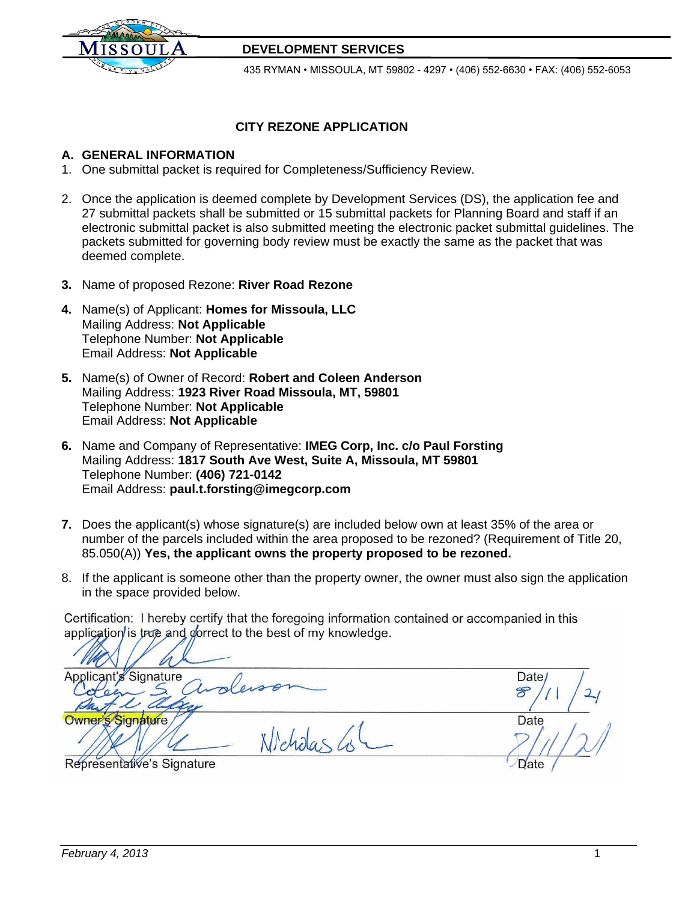

## **DEVELOPMENT SERVICES**

435 RYMAN • MISSOULA, MT 59802 - 4297 • (406) 552-6630 • FAX: (406) 552-6053

## **CITY REZONE APPLICATION**

### **A. GENERAL INFORMATION**

- 1. One submittal packet is required for Completeness/Sufficiency Review.
- 2. Once the application is deemed complete by Development Services (DS), the application fee and 27 submittal packets shall be submitted or 15 submittal packets for Planning Board and staff if an electronic submittal packet is also submitted meeting the electronic packet submittal guidelines. The packets submitted for governing body review must be exactly the same as the packet that was deemed complete.
- **3.** Name of proposed Rezone: **River Road Rezone**
- **4.** Name(s) of Applicant: **Homes for Missoula, LLC** Mailing Address: **Not Applicable**  Telephone Number: **Not Applicable**  Email Address: **Not Applicable**
- **5.** Name(s) of Owner of Record: **Robert and Coleen Anderson**  Mailing Address: **1923 River Road Missoula, MT, 59801**  Telephone Number: **Not Applicable** Email Address: **Not Applicable**
- **6.** Name and Company of Representative: **IMEG Corp, Inc. c/o Paul Forsting**  Mailing Address: **1817 South Ave West, Suite A, Missoula, MT 59801**  Telephone Number: **(406) 721-0142** Email Address: **[paul.t.forsting@imegcorp.com](mailto:paul.t.forsting@imegcorp.com)**
- **7.** Does the applicant(s) whose signature(s) are included below own at least 35% of the area or number of the parcels included within the area proposed to be rezoned? (Requirement of Title 20, 85.050(A)) **Yes, the applicant owns the property proposed to be rezoned.**
- 8. If the applicant is someone other than the property owner, the owner must also sign the application in the space provided below.

Certification: I hereby certify that the foregoing information contained or accompanied in this application is true and gorrect to the best of my knowledge.

Applicant's Signature  $\bigwedge$  $\mathscr{F}$ Owner's Signature //<br>
Nicholas (1) Representative's Signature data control of the Date of Date Date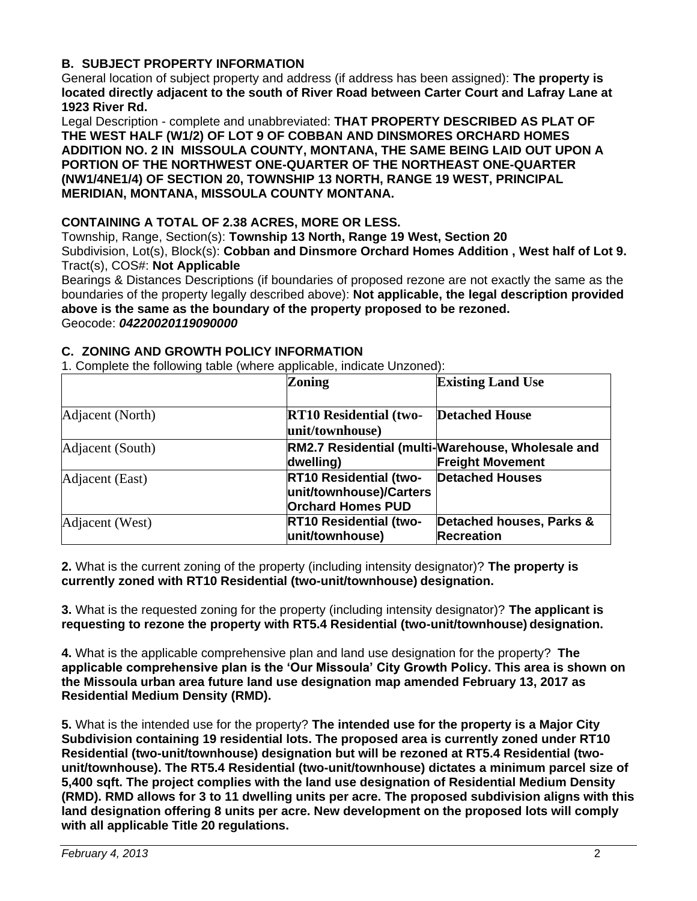## **B. SUBJECT PROPERTY INFORMATION**

General location of subject property and address (if address has been assigned): **The property is located directly adjacent to the south of River Road between Carter Court and Lafray Lane at 1923 River Rd.**

Legal Description - complete and unabbreviated: **THAT PROPERTY DESCRIBED AS PLAT OF THE WEST HALF (W1/2) OF LOT 9 OF COBBAN AND DINSMORES ORCHARD HOMES ADDITION NO. 2 IN MISSOULA COUNTY, MONTANA, THE SAME BEING LAID OUT UPON A PORTION OF THE NORTHWEST ONE-QUARTER OF THE NORTHEAST ONE-QUARTER (NW1/4NE1/4) OF SECTION 20, TOWNSHIP 13 NORTH, RANGE 19 WEST, PRINCIPAL MERIDIAN, MONTANA, MISSOULA COUNTY MONTANA.** 

## **CONTAINING A TOTAL OF 2.38 ACRES, MORE OR LESS.**

Township, Range, Section(s): **Township 13 North, Range 19 West, Section 20** Subdivision, Lot(s), Block(s): **Cobban and Dinsmore Orchard Homes Addition , West half of Lot 9.** Tract(s), COS#: **Not Applicable**

Bearings & Distances Descriptions (if boundaries of proposed rezone are not exactly the same as the boundaries of the property legally described above): **Not applicable, the legal description provided above is the same as the boundary of the property proposed to be rezoned.** Geocode: *04220020119090000*

|                  | <b>Zoning</b>                                                                        | <b>Existing Land Use</b>                                                     |
|------------------|--------------------------------------------------------------------------------------|------------------------------------------------------------------------------|
| Adjacent (North) | <b>RT10 Residential (two-</b><br>unit/townhouse)                                     | <b>Detached House</b>                                                        |
| Adjacent (South) | dwelling)                                                                            | RM2.7 Residential (multi-Warehouse, Wholesale and<br><b>Freight Movement</b> |
| Adjacent (East)  | <b>RT10 Residential (two-</b><br>unit/townhouse)/Carters<br><b>Orchard Homes PUD</b> | <b>Detached Houses</b>                                                       |
| Adjacent (West)  | <b>RT10 Residential (two-</b><br>unit/townhouse)                                     | Detached houses, Parks &<br><b>Recreation</b>                                |

#### **C. ZONING AND GROWTH POLICY INFORMATION** 1. Complete the following table (where applicable, indicate Unzoned):

**2.** What is the current zoning of the property (including intensity designator)? **The property is currently zoned with RT10 Residential (two-unit/townhouse) designation.**

**3.** What is the requested zoning for the property (including intensity designator)? **The applicant is requesting to rezone the property with RT5.4 Residential (two-unit/townhouse) designation.**

**4.** What is the applicable comprehensive plan and land use designation for the property? **The applicable comprehensive plan is the 'Our Missoula' City Growth Policy. This area is shown on the Missoula urban area future land use designation map amended February 13, 2017 as Residential Medium Density (RMD).**

**5.** What is the intended use for the property? **The intended use for the property is a Major City Subdivision containing 19 residential lots. The proposed area is currently zoned under RT10 Residential (two-unit/townhouse) designation but will be rezoned at RT5.4 Residential (twounit/townhouse). The RT5.4 Residential (two-unit/townhouse) dictates a minimum parcel size of 5,400 sqft. The project complies with the land use designation of Residential Medium Density (RMD). RMD allows for 3 to 11 dwelling units per acre. The proposed subdivision aligns with this land designation offering 8 units per acre. New development on the proposed lots will comply with all applicable Title 20 regulations.**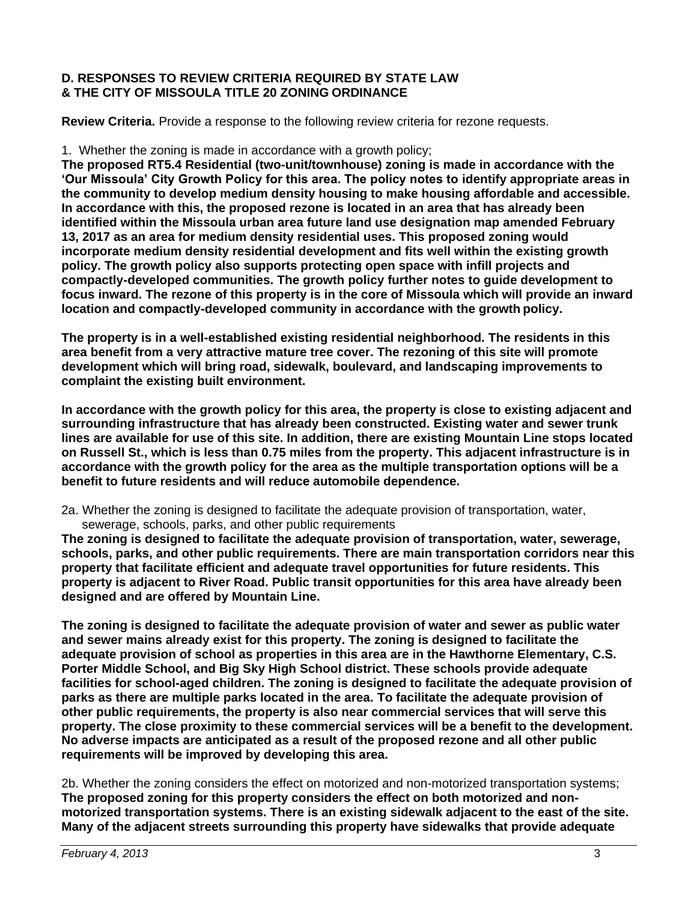## **D. RESPONSES TO REVIEW CRITERIA REQUIRED BY STATE LAW & THE CITY OF MISSOULA TITLE 20 ZONING ORDINANCE**

**Review Criteria.** Provide a response to the following review criteria for rezone requests.

#### 1. Whether the zoning is made in accordance with a growth policy;

**The proposed RT5.4 Residential (two-unit/townhouse) zoning is made in accordance with the 'Our Missoula' City Growth Policy for this area. The policy notes to identify appropriate areas in the community to develop medium density housing to make housing affordable and accessible. In accordance with this, the proposed rezone is located in an area that has already been identified within the Missoula urban area future land use designation map amended February 13, 2017 as an area for medium density residential uses. This proposed zoning would incorporate medium density residential development and fits well within the existing growth policy. The growth policy also supports protecting open space with infill projects and compactly-developed communities. The growth policy further notes to guide development to focus inward. The rezone of this property is in the core of Missoula which will provide an inward location and compactly-developed community in accordance with the growth policy.**

**The property is in a well-established existing residential neighborhood. The residents in this area benefit from a very attractive mature tree cover. The rezoning of this site will promote development which will bring road, sidewalk, boulevard, and landscaping improvements to complaint the existing built environment.**

**In accordance with the growth policy for this area, the property is close to existing adjacent and surrounding infrastructure that has already been constructed. Existing water and sewer trunk lines are available for use of this site. In addition, there are existing Mountain Line stops located on Russell St., which is less than 0.75 miles from the property. This adjacent infrastructure is in accordance with the growth policy for the area as the multiple transportation options will be a benefit to future residents and will reduce automobile dependence.**

2a. Whether the zoning is designed to facilitate the adequate provision of transportation, water, sewerage, schools, parks, and other public requirements

**The zoning is designed to facilitate the adequate provision of transportation, water, sewerage, schools, parks, and other public requirements. There are main transportation corridors near this property that facilitate efficient and adequate travel opportunities for future residents. This property is adjacent to River Road. Public transit opportunities for this area have already been designed and are offered by Mountain Line.**

**The zoning is designed to facilitate the adequate provision of water and sewer as public water and sewer mains already exist for this property. The zoning is designed to facilitate the adequate provision of school as properties in this area are in the Hawthorne Elementary, C.S. Porter Middle School, and Big Sky High School district. These schools provide adequate facilities for school-aged children. The zoning is designed to facilitate the adequate provision of parks as there are multiple parks located in the area. To facilitate the adequate provision of other public requirements, the property is also near commercial services that will serve this property. The close proximity to these commercial services will be a benefit to the development. No adverse impacts are anticipated as a result of the proposed rezone and all other public requirements will be improved by developing this area.**

2b. Whether the zoning considers the effect on motorized and non-motorized transportation systems; **The proposed zoning for this property considers the effect on both motorized and nonmotorized transportation systems. There is an existing sidewalk adjacent to the east of the site. Many of the adjacent streets surrounding this property have sidewalks that provide adequate**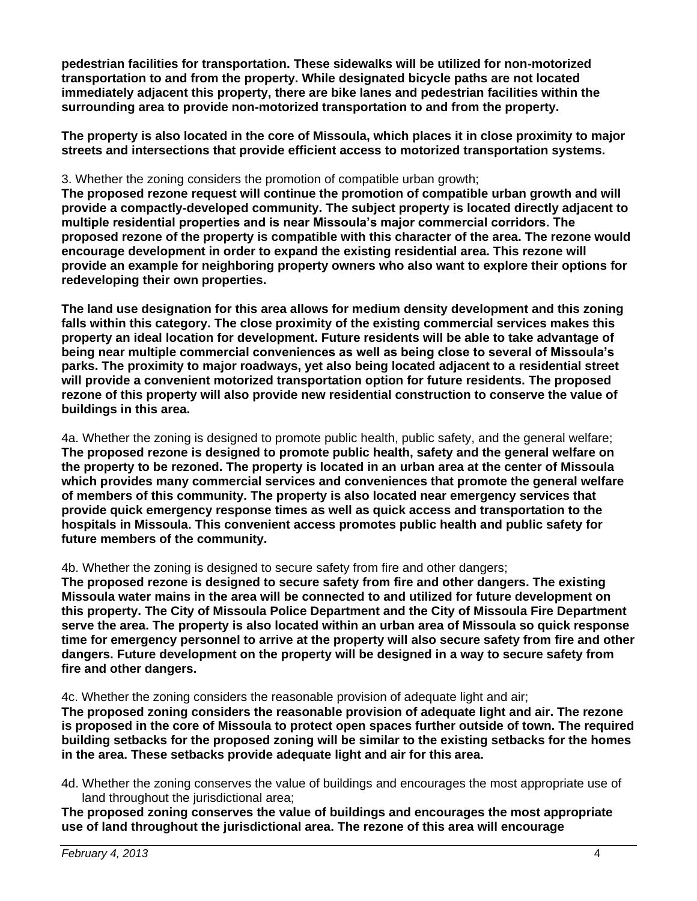**pedestrian facilities for transportation. These sidewalks will be utilized for non-motorized transportation to and from the property. While designated bicycle paths are not located immediately adjacent this property, there are bike lanes and pedestrian facilities within the surrounding area to provide non-motorized transportation to and from the property.**

**The property is also located in the core of Missoula, which places it in close proximity to major streets and intersections that provide efficient access to motorized transportation systems.**

#### 3. Whether the zoning considers the promotion of compatible urban growth;

**The proposed rezone request will continue the promotion of compatible urban growth and will provide a compactly-developed community. The subject property is located directly adjacent to multiple residential properties and is near Missoula's major commercial corridors. The proposed rezone of the property is compatible with this character of the area. The rezone would encourage development in order to expand the existing residential area. This rezone will provide an example for neighboring property owners who also want to explore their options for redeveloping their own properties.**

**The land use designation for this area allows for medium density development and this zoning falls within this category. The close proximity of the existing commercial services makes this property an ideal location for development. Future residents will be able to take advantage of being near multiple commercial conveniences as well as being close to several of Missoula's parks. The proximity to major roadways, yet also being located adjacent to a residential street will provide a convenient motorized transportation option for future residents. The proposed rezone of this property will also provide new residential construction to conserve the value of buildings in this area.**

4a. Whether the zoning is designed to promote public health, public safety, and the general welfare; **The proposed rezone is designed to promote public health, safety and the general welfare on the property to be rezoned. The property is located in an urban area at the center of Missoula which provides many commercial services and conveniences that promote the general welfare of members of this community. The property is also located near emergency services that provide quick emergency response times as well as quick access and transportation to the hospitals in Missoula. This convenient access promotes public health and public safety for future members of the community.**

#### 4b. Whether the zoning is designed to secure safety from fire and other dangers;

**The proposed rezone is designed to secure safety from fire and other dangers. The existing Missoula water mains in the area will be connected to and utilized for future development on this property. The City of Missoula Police Department and the City of Missoula Fire Department serve the area. The property is also located within an urban area of Missoula so quick response time for emergency personnel to arrive at the property will also secure safety from fire and other dangers. Future development on the property will be designed in a way to secure safety from fire and other dangers.**

4c. Whether the zoning considers the reasonable provision of adequate light and air;

**The proposed zoning considers the reasonable provision of adequate light and air. The rezone is proposed in the core of Missoula to protect open spaces further outside of town. The required building setbacks for the proposed zoning will be similar to the existing setbacks for the homes in the area. These setbacks provide adequate light and air for this area.**

4d. Whether the zoning conserves the value of buildings and encourages the most appropriate use of land throughout the jurisdictional area;

**The proposed zoning conserves the value of buildings and encourages the most appropriate use of land throughout the jurisdictional area. The rezone of this area will encourage**